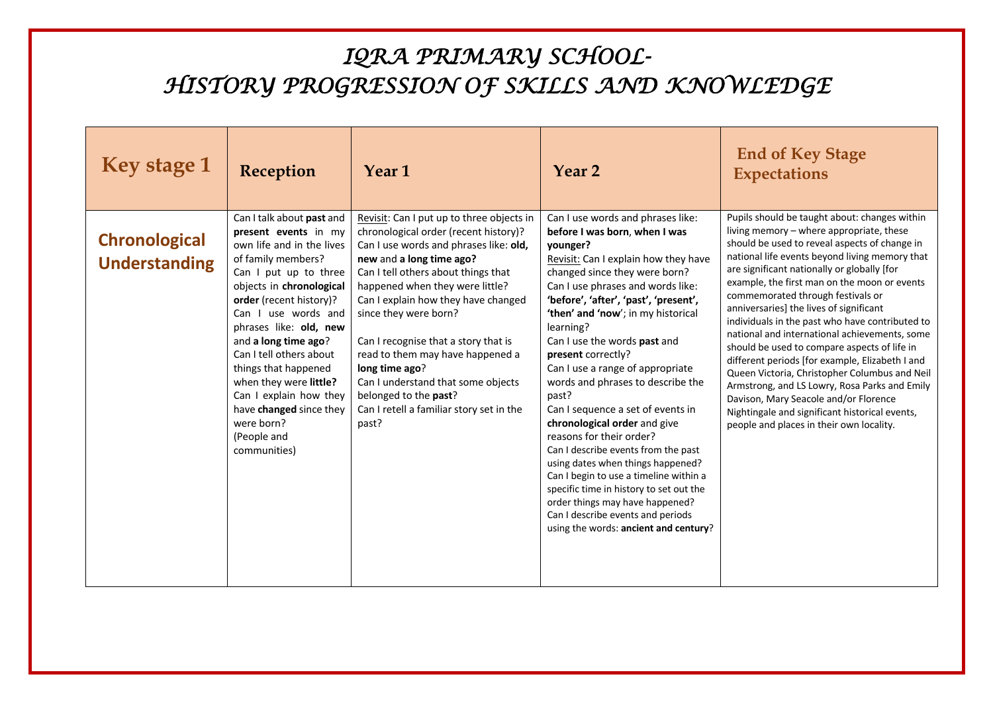| <b>Key stage 1</b>                           | Reception                                                                                                                                                                                                                                                                                                                                                                                                                                    | Year <sub>1</sub>                                                                                                                                                                                                                                                                                                                                                                                                                                                                                                    | Year 2                                                                                                                                                                                                                                                                                                                                                                                                                                                                                                                                                                                                                                                                                                                                                                                                              | <b>End of Key Stage</b><br><b>Expectations</b>                                                                                                                                                                                                                                                                                                                                                                                                                                                                                                                                                                                                                                                                                                                                                                              |
|----------------------------------------------|----------------------------------------------------------------------------------------------------------------------------------------------------------------------------------------------------------------------------------------------------------------------------------------------------------------------------------------------------------------------------------------------------------------------------------------------|----------------------------------------------------------------------------------------------------------------------------------------------------------------------------------------------------------------------------------------------------------------------------------------------------------------------------------------------------------------------------------------------------------------------------------------------------------------------------------------------------------------------|---------------------------------------------------------------------------------------------------------------------------------------------------------------------------------------------------------------------------------------------------------------------------------------------------------------------------------------------------------------------------------------------------------------------------------------------------------------------------------------------------------------------------------------------------------------------------------------------------------------------------------------------------------------------------------------------------------------------------------------------------------------------------------------------------------------------|-----------------------------------------------------------------------------------------------------------------------------------------------------------------------------------------------------------------------------------------------------------------------------------------------------------------------------------------------------------------------------------------------------------------------------------------------------------------------------------------------------------------------------------------------------------------------------------------------------------------------------------------------------------------------------------------------------------------------------------------------------------------------------------------------------------------------------|
| <b>Chronological</b><br><b>Understanding</b> | Can I talk about past and<br>present events in my<br>own life and in the lives<br>of family members?<br>Can I put up to three<br>objects in chronological<br>order (recent history)?<br>Can I use words and<br>phrases like: old, new<br>and a long time ago?<br>Can I tell others about<br>things that happened<br>when they were little?<br>Can I explain how they<br>have changed since they<br>were born?<br>(People and<br>communities) | Revisit: Can I put up to three objects in<br>chronological order (recent history)?<br>Can I use words and phrases like: old,<br>new and a long time ago?<br>Can I tell others about things that<br>happened when they were little?<br>Can I explain how they have changed<br>since they were born?<br>Can I recognise that a story that is<br>read to them may have happened a<br>long time ago?<br>Can I understand that some objects<br>belonged to the past?<br>Can I retell a familiar story set in the<br>past? | Can I use words and phrases like:<br>before I was born, when I was<br>vounger?<br>Revisit: Can I explain how they have<br>changed since they were born?<br>Can I use phrases and words like:<br>'before', 'after', 'past', 'present',<br>'then' and 'now'; in my historical<br>learning?<br>Can I use the words past and<br>present correctly?<br>Can I use a range of appropriate<br>words and phrases to describe the<br>past?<br>Can I sequence a set of events in<br>chronological order and give<br>reasons for their order?<br>Can I describe events from the past<br>using dates when things happened?<br>Can I begin to use a timeline within a<br>specific time in history to set out the<br>order things may have happened?<br>Can I describe events and periods<br>using the words: ancient and century? | Pupils should be taught about: changes within<br>living memory - where appropriate, these<br>should be used to reveal aspects of change in<br>national life events beyond living memory that<br>are significant nationally or globally [for<br>example, the first man on the moon or events<br>commemorated through festivals or<br>anniversaries] the lives of significant<br>individuals in the past who have contributed to<br>national and international achievements, some<br>should be used to compare aspects of life in<br>different periods [for example, Elizabeth I and<br>Queen Victoria, Christopher Columbus and Neil<br>Armstrong, and LS Lowry, Rosa Parks and Emily<br>Davison, Mary Seacole and/or Florence<br>Nightingale and significant historical events,<br>people and places in their own locality. |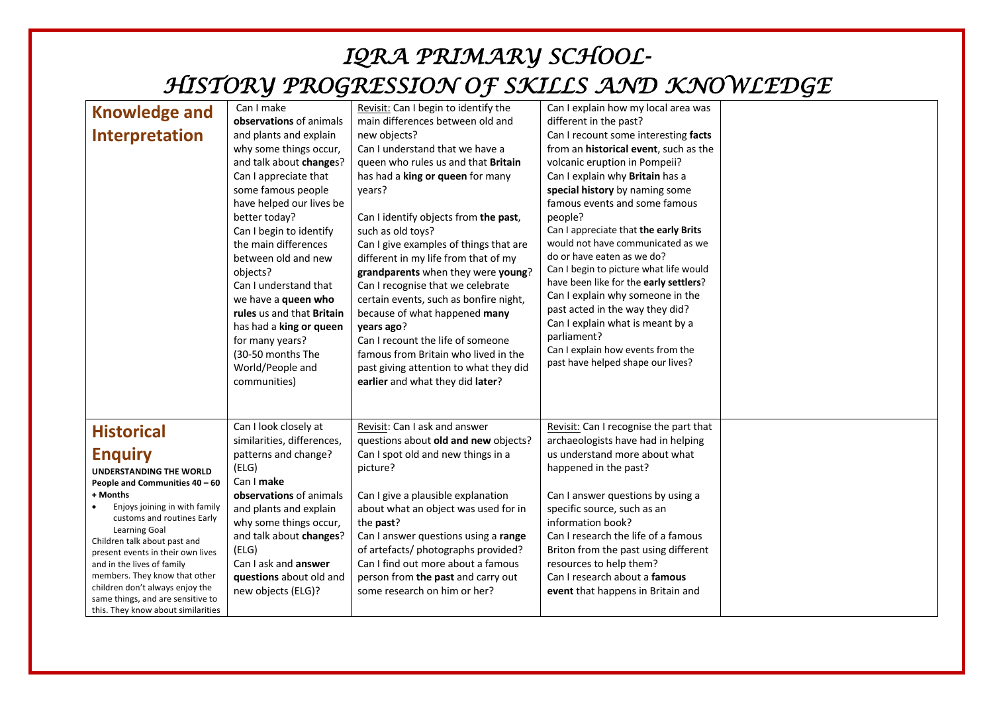| <b>Knowledge and</b><br><b>Interpretation</b>                                                                                                                                                                                                                                                                                                                                                                                                                | Can I make<br>observations of animals<br>and plants and explain<br>why some things occur,<br>and talk about changes?<br>Can I appreciate that<br>some famous people<br>have helped our lives be<br>better today?<br>Can I begin to identify<br>the main differences<br>between old and new<br>objects?<br>Can I understand that | Revisit: Can I begin to identify the<br>main differences between old and<br>new objects?<br>Can I understand that we have a<br>queen who rules us and that Britain<br>has had a king or queen for many<br>years?<br>Can I identify objects from the past,<br>such as old toys?<br>Can I give examples of things that are<br>different in my life from that of my<br>grandparents when they were young?<br>Can I recognise that we celebrate | Can I explain how my local area was<br>different in the past?<br>Can I recount some interesting facts<br>from an historical event, such as the<br>volcanic eruption in Pompeii?<br>Can I explain why Britain has a<br>special history by naming some<br>famous events and some famous<br>people?<br>Can I appreciate that the early Brits<br>would not have communicated as we<br>do or have eaten as we do?<br>Can I begin to picture what life would<br>have been like for the early settlers? |  |
|--------------------------------------------------------------------------------------------------------------------------------------------------------------------------------------------------------------------------------------------------------------------------------------------------------------------------------------------------------------------------------------------------------------------------------------------------------------|---------------------------------------------------------------------------------------------------------------------------------------------------------------------------------------------------------------------------------------------------------------------------------------------------------------------------------|---------------------------------------------------------------------------------------------------------------------------------------------------------------------------------------------------------------------------------------------------------------------------------------------------------------------------------------------------------------------------------------------------------------------------------------------|--------------------------------------------------------------------------------------------------------------------------------------------------------------------------------------------------------------------------------------------------------------------------------------------------------------------------------------------------------------------------------------------------------------------------------------------------------------------------------------------------|--|
|                                                                                                                                                                                                                                                                                                                                                                                                                                                              | we have a queen who<br>rules us and that Britain<br>has had a king or queen<br>for many years?<br>(30-50 months The<br>World/People and<br>communities)                                                                                                                                                                         | certain events, such as bonfire night,<br>because of what happened many<br>years ago?<br>Can I recount the life of someone<br>famous from Britain who lived in the<br>past giving attention to what they did<br>earlier and what they did later?                                                                                                                                                                                            | Can I explain why someone in the<br>past acted in the way they did?<br>Can I explain what is meant by a<br>parliament?<br>Can I explain how events from the<br>past have helped shape our lives?                                                                                                                                                                                                                                                                                                 |  |
| <b>Historical</b><br><b>Enquiry</b><br><b>UNDERSTANDING THE WORLD</b><br>People and Communities 40 - 60<br>+ Months<br>Enjoys joining in with family<br>customs and routines Early<br><b>Learning Goal</b><br>Children talk about past and<br>present events in their own lives<br>and in the lives of family<br>members. They know that other<br>children don't always enjoy the<br>same things, and are sensitive to<br>this. They know about similarities | Can I look closely at<br>similarities, differences,<br>patterns and change?<br>(ELG)<br>Can I make<br>observations of animals<br>and plants and explain<br>why some things occur,<br>and talk about changes?<br>(ELG)<br>Can I ask and answer<br>questions about old and<br>new objects (ELG)?                                  | Revisit: Can I ask and answer<br>questions about old and new objects?<br>Can I spot old and new things in a<br>picture?<br>Can I give a plausible explanation<br>about what an object was used for in<br>the <b>past</b> ?<br>Can I answer questions using a range<br>of artefacts/ photographs provided?<br>Can I find out more about a famous<br>person from the past and carry out<br>some research on him or her?                       | Revisit: Can I recognise the part that<br>archaeologists have had in helping<br>us understand more about what<br>happened in the past?<br>Can I answer questions by using a<br>specific source, such as an<br>information book?<br>Can I research the life of a famous<br>Briton from the past using different<br>resources to help them?<br>Can I research about a famous<br>event that happens in Britain and                                                                                  |  |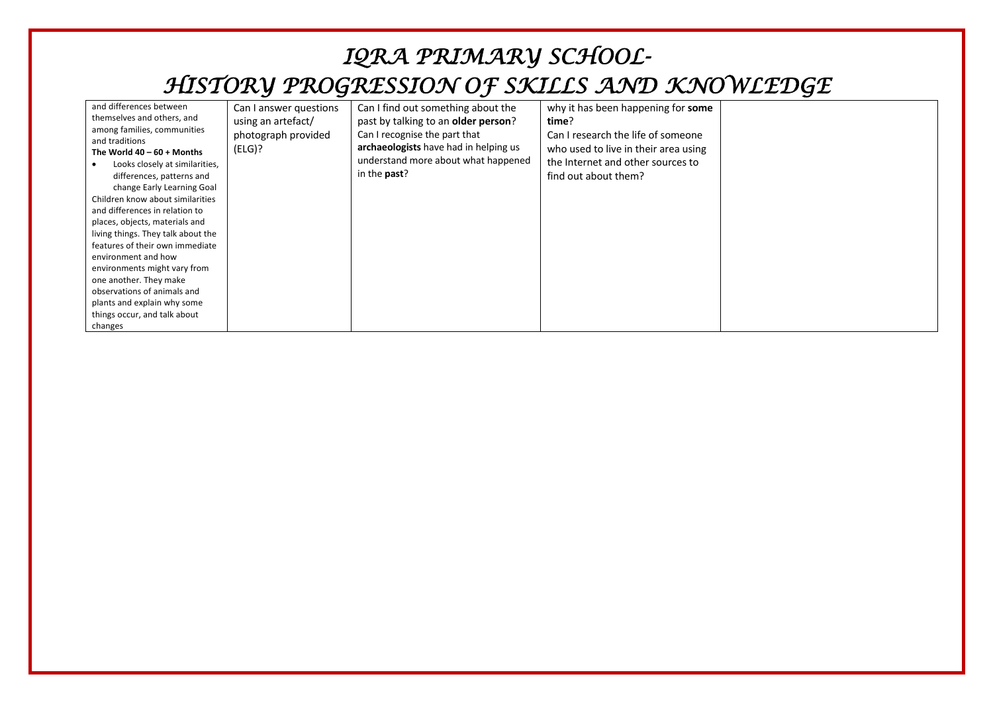| and differences between<br>Can I answer questions<br>themselves and others, and<br>using an artefact/<br>among families, communities<br>photograph provided<br>and traditions<br>(ELG)?<br>The World $40 - 60 +$ Months<br>Looks closely at similarities,<br>differences, patterns and<br>change Early Learning Goal<br>Children know about similarities<br>and differences in relation to<br>places, objects, materials and<br>living things. They talk about the<br>features of their own immediate<br>environment and how<br>environments might vary from<br>one another. They make<br>observations of animals and<br>plants and explain why some<br>things occur, and talk about<br>changes | Can I find out something about the<br>past by talking to an <b>older person</b> ?<br>Can I recognise the part that<br>archaeologists have had in helping us<br>understand more about what happened<br>in the <b>past</b> ? | why it has been happening for some<br>time?<br>Can I research the life of someone<br>who used to live in their area using<br>the Internet and other sources to<br>find out about them? |  |
|-------------------------------------------------------------------------------------------------------------------------------------------------------------------------------------------------------------------------------------------------------------------------------------------------------------------------------------------------------------------------------------------------------------------------------------------------------------------------------------------------------------------------------------------------------------------------------------------------------------------------------------------------------------------------------------------------|----------------------------------------------------------------------------------------------------------------------------------------------------------------------------------------------------------------------------|----------------------------------------------------------------------------------------------------------------------------------------------------------------------------------------|--|
|-------------------------------------------------------------------------------------------------------------------------------------------------------------------------------------------------------------------------------------------------------------------------------------------------------------------------------------------------------------------------------------------------------------------------------------------------------------------------------------------------------------------------------------------------------------------------------------------------------------------------------------------------------------------------------------------------|----------------------------------------------------------------------------------------------------------------------------------------------------------------------------------------------------------------------------|----------------------------------------------------------------------------------------------------------------------------------------------------------------------------------------|--|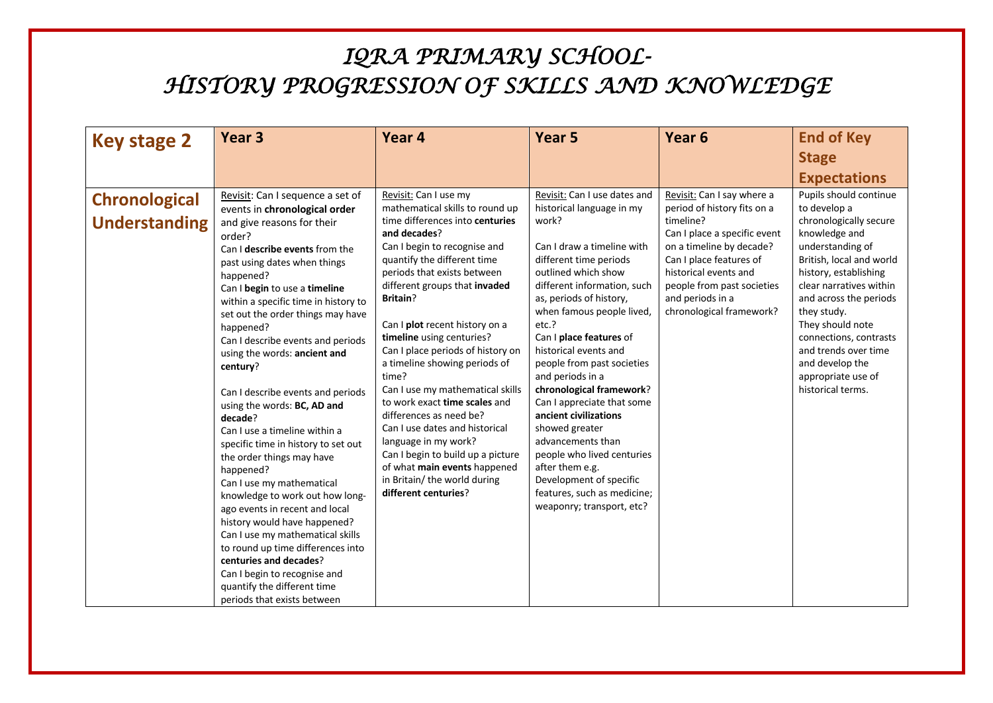| <b>Key stage 2</b>                           | Year <sub>3</sub>                                                                                                                                                                                                                                                                                                                                                                                                                                                                   | Year <sub>4</sub>                                                                                                                                                                                                                                                                                                                                                                                                                                                                                    | Year <sub>5</sub>                                                                                                                                                                                                                                                                                                                                                                                                                          | Year <sub>6</sub>                                                                                                                                                                                                                                                    | <b>End of Key</b>                                                                                                                                                                                                                                                                                                                                                  |
|----------------------------------------------|-------------------------------------------------------------------------------------------------------------------------------------------------------------------------------------------------------------------------------------------------------------------------------------------------------------------------------------------------------------------------------------------------------------------------------------------------------------------------------------|------------------------------------------------------------------------------------------------------------------------------------------------------------------------------------------------------------------------------------------------------------------------------------------------------------------------------------------------------------------------------------------------------------------------------------------------------------------------------------------------------|--------------------------------------------------------------------------------------------------------------------------------------------------------------------------------------------------------------------------------------------------------------------------------------------------------------------------------------------------------------------------------------------------------------------------------------------|----------------------------------------------------------------------------------------------------------------------------------------------------------------------------------------------------------------------------------------------------------------------|--------------------------------------------------------------------------------------------------------------------------------------------------------------------------------------------------------------------------------------------------------------------------------------------------------------------------------------------------------------------|
|                                              |                                                                                                                                                                                                                                                                                                                                                                                                                                                                                     |                                                                                                                                                                                                                                                                                                                                                                                                                                                                                                      |                                                                                                                                                                                                                                                                                                                                                                                                                                            |                                                                                                                                                                                                                                                                      | <b>Stage</b>                                                                                                                                                                                                                                                                                                                                                       |
|                                              |                                                                                                                                                                                                                                                                                                                                                                                                                                                                                     |                                                                                                                                                                                                                                                                                                                                                                                                                                                                                                      |                                                                                                                                                                                                                                                                                                                                                                                                                                            |                                                                                                                                                                                                                                                                      | <b>Expectations</b>                                                                                                                                                                                                                                                                                                                                                |
| <b>Chronological</b><br><b>Understanding</b> | Revisit: Can I sequence a set of<br>events in chronological order<br>and give reasons for their<br>order?<br>Can I describe events from the<br>past using dates when things<br>happened?<br>Can I begin to use a timeline<br>within a specific time in history to<br>set out the order things may have<br>happened?<br>Can I describe events and periods<br>using the words: ancient and<br>century?<br>Can I describe events and periods<br>using the words: BC, AD and<br>decade? | Revisit: Can I use my<br>mathematical skills to round up<br>time differences into centuries<br>and decades?<br>Can I begin to recognise and<br>quantify the different time<br>periods that exists between<br>different groups that invaded<br>Britain?<br>Can I plot recent history on a<br>timeline using centuries?<br>Can I place periods of history on<br>a timeline showing periods of<br>time?<br>Can I use my mathematical skills<br>to work exact time scales and<br>differences as need be? | Revisit: Can I use dates and<br>historical language in my<br>work?<br>Can I draw a timeline with<br>different time periods<br>outlined which show<br>different information, such<br>as, periods of history,<br>when famous people lived,<br>etc.?<br>Can I place features of<br>historical events and<br>people from past societies<br>and periods in a<br>chronological framework?<br>Can I appreciate that some<br>ancient civilizations | Revisit: Can I say where a<br>period of history fits on a<br>timeline?<br>Can I place a specific event<br>on a timeline by decade?<br>Can I place features of<br>historical events and<br>people from past societies<br>and periods in a<br>chronological framework? | Pupils should continue<br>to develop a<br>chronologically secure<br>knowledge and<br>understanding of<br>British, local and world<br>history, establishing<br>clear narratives within<br>and across the periods<br>they study.<br>They should note<br>connections, contrasts<br>and trends over time<br>and develop the<br>appropriate use of<br>historical terms. |
|                                              | Can I use a timeline within a<br>specific time in history to set out<br>the order things may have<br>happened?<br>Can I use my mathematical<br>knowledge to work out how long-<br>ago events in recent and local<br>history would have happened?<br>Can I use my mathematical skills<br>to round up time differences into<br>centuries and decades?<br>Can I begin to recognise and<br>quantify the different time<br>periods that exists between                                   | Can I use dates and historical<br>language in my work?<br>Can I begin to build up a picture<br>of what main events happened<br>in Britain/ the world during<br>different centuries?                                                                                                                                                                                                                                                                                                                  | showed greater<br>advancements than<br>people who lived centuries<br>after them e.g.<br>Development of specific<br>features, such as medicine;<br>weaponry; transport, etc?                                                                                                                                                                                                                                                                |                                                                                                                                                                                                                                                                      |                                                                                                                                                                                                                                                                                                                                                                    |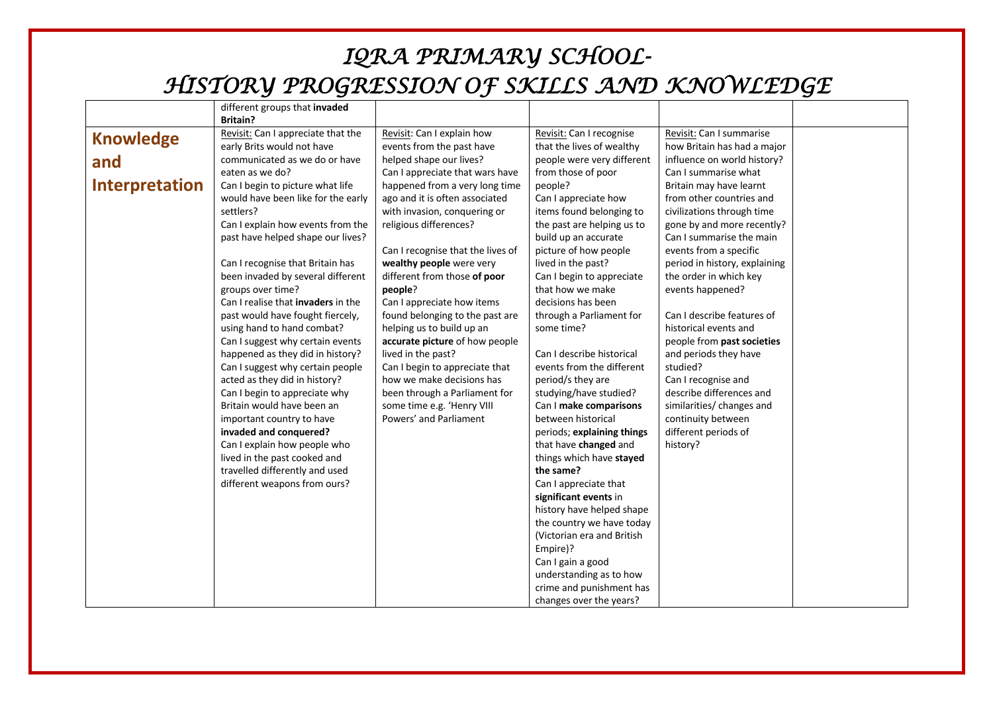|                       | different groups that invaded             |                                   |                                                         |                               |
|-----------------------|-------------------------------------------|-----------------------------------|---------------------------------------------------------|-------------------------------|
|                       | <b>Britain?</b>                           |                                   |                                                         |                               |
| <b>Knowledge</b>      | Revisit: Can I appreciate that the        | Revisit: Can I explain how        | Revisit: Can I recognise                                | Revisit: Can I summarise      |
|                       | early Brits would not have                | events from the past have         | that the lives of wealthy                               | how Britain has had a major   |
| and                   | communicated as we do or have             | helped shape our lives?           | people were very different                              | influence on world history?   |
|                       | eaten as we do?                           | Can I appreciate that wars have   | from those of poor                                      | Can I summarise what          |
| <b>Interpretation</b> | Can I begin to picture what life          | happened from a very long time    | people?                                                 | Britain may have learnt       |
|                       | would have been like for the early        | ago and it is often associated    | Can I appreciate how                                    | from other countries and      |
|                       | settlers?                                 | with invasion, conquering or      | items found belonging to                                | civilizations through time    |
|                       | Can I explain how events from the         | religious differences?            | the past are helping us to                              | gone by and more recently?    |
|                       | past have helped shape our lives?         |                                   | build up an accurate                                    | Can I summarise the main      |
|                       |                                           | Can I recognise that the lives of | picture of how people                                   | events from a specific        |
|                       | Can I recognise that Britain has          | wealthy people were very          | lived in the past?                                      | period in history, explaining |
|                       | been invaded by several different         | different from those of poor      | Can I begin to appreciate                               | the order in which key        |
|                       | groups over time?                         | people?                           | that how we make                                        | events happened?              |
|                       | Can I realise that <b>invaders</b> in the | Can I appreciate how items        | decisions has been                                      |                               |
|                       | past would have fought fiercely,          | found belonging to the past are   | through a Parliament for                                | Can I describe features of    |
|                       | using hand to hand combat?                | helping us to build up an         | some time?                                              | historical events and         |
|                       | Can I suggest why certain events          | accurate picture of how people    |                                                         | people from past societies    |
|                       | happened as they did in history?          | lived in the past?                | Can I describe historical                               | and periods they have         |
|                       | Can I suggest why certain people          | Can I begin to appreciate that    | events from the different                               | studied?                      |
|                       | acted as they did in history?             | how we make decisions has         | period/s they are                                       | Can I recognise and           |
|                       | Can I begin to appreciate why             | been through a Parliament for     | studying/have studied?                                  | describe differences and      |
|                       | Britain would have been an                | some time e.g. 'Henry VIII        | Can I make comparisons                                  | similarities/ changes and     |
|                       | important country to have                 | Powers' and Parliament            | between historical                                      | continuity between            |
|                       | invaded and conquered?                    |                                   | periods; explaining things                              | different periods of          |
|                       | Can I explain how people who              |                                   | that have changed and                                   | history?                      |
|                       | lived in the past cooked and              |                                   | things which have stayed                                |                               |
|                       | travelled differently and used            |                                   | the same?                                               |                               |
|                       | different weapons from ours?              |                                   | Can I appreciate that                                   |                               |
|                       |                                           |                                   | significant events in                                   |                               |
|                       |                                           |                                   | history have helped shape                               |                               |
|                       |                                           |                                   | the country we have today<br>(Victorian era and British |                               |
|                       |                                           |                                   |                                                         |                               |
|                       |                                           |                                   | Empire)?                                                |                               |
|                       |                                           |                                   | Can I gain a good                                       |                               |
|                       |                                           |                                   | understanding as to how<br>crime and punishment has     |                               |
|                       |                                           |                                   | changes over the years?                                 |                               |
|                       |                                           |                                   |                                                         |                               |